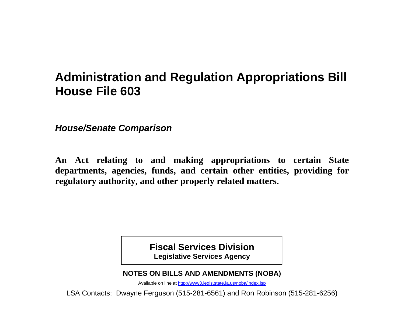# **Administration and Regulation Appropriations Bill House File 603**

*House/Senate Comparison* 

**An Act relating to and making appropriations to certain State departments, agencies, funds, and certain other entities, providing for regulatory authority, and other properly related matters.** 

> **Fiscal Services Division Legislative Services Agency**

**NOTES ON BILLS AND AMENDMENTS (NOBA)** 

Available on line at http://www3.legis.state.ia.us/noba/index.jsp

LSA Contacts: Dwayne Ferguson (515-281-6561) and Ron Robinson (515-281-6256)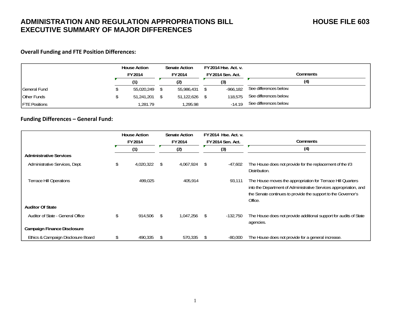#### **Overall Funding and FTE Position Differences:**

|                      | <b>House Action</b><br>FY 2014 | <b>Senate Action</b><br>FY 2014 | FY 2014 Hse. Act. v.<br>FY 2014 Sen. Act. | Comments               |
|----------------------|--------------------------------|---------------------------------|-------------------------------------------|------------------------|
|                      |                                | (2)                             | (3)                                       | (4)                    |
| <b>General Fund</b>  | 55,020,249                     | 55,986,431                      | $-966.182$                                | See differences below. |
| Other Funds          | 51,241,201                     | 51,122,626                      | 118,575                                   | See differences below. |
| <b>FTE Positions</b> | 1,281.79                       | .295.98                         | $-14.19$                                  | See differences below. |

#### **Funding Differences – General Fund:**

|                                    | <b>House Action</b><br>FY 2014 |    | <b>Senate Action</b><br>FY 2014 |    | FY 2014 Hse. Act. v.<br><b>FY 2014 Sen. Act.</b> | Comments                                                                                                                                                                                                     |
|------------------------------------|--------------------------------|----|---------------------------------|----|--------------------------------------------------|--------------------------------------------------------------------------------------------------------------------------------------------------------------------------------------------------------------|
|                                    | (1)                            |    | (2)                             |    | (3)                                              | (4)                                                                                                                                                                                                          |
| <b>Administrative Services</b>     |                                |    |                                 |    |                                                  |                                                                                                                                                                                                              |
| Administrative Services, Dept.     | \$<br>4,020,322                | \$ | 4,067,924                       | S. | $-47,602$                                        | The House does not provide for the replacement of the V3<br>Distribution.                                                                                                                                    |
| <b>Terrace Hill Operations</b>     | 499.025                        |    | 405,914                         |    | 93,111                                           | The House moves the appropriation for Terrace Hill Quarters<br>into the Department of Administrative Services appropriation, and<br>the Senate continues to provide the support to the Governor's<br>Office. |
| <b>Auditor Of State</b>            |                                |    |                                 |    |                                                  |                                                                                                                                                                                                              |
| Auditor of State - General Office  | \$<br>914,506                  | \$ | 1.047.256                       | S. | -132,750                                         | The House does not provide additional support for audits of State<br>agencies.                                                                                                                               |
| Campaign Finance Disclosure        |                                |    |                                 |    |                                                  |                                                                                                                                                                                                              |
| Ethics & Campaign Disclosure Board | \$<br>490,335                  | S  | 570,335                         |    | $-80,000$                                        | The House does not provide for a general increase.                                                                                                                                                           |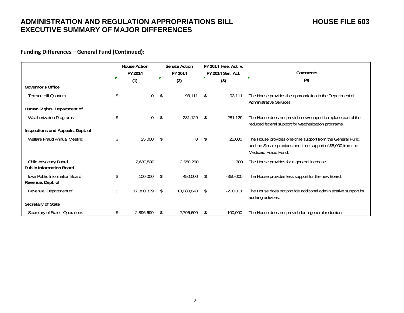### **Funding Differences – General Fund (Continued):**

|                                                         | <b>House Action</b>  |               | <b>Senate Action</b> |     | FY 2014 Hse. Act. v. |                                                                                                                                                    |
|---------------------------------------------------------|----------------------|---------------|----------------------|-----|----------------------|----------------------------------------------------------------------------------------------------------------------------------------------------|
|                                                         | FY 2014              |               | FY 2014              |     | FY 2014 Sen. Act.    | Comments                                                                                                                                           |
|                                                         | (1)                  |               | (2)                  |     | (3)                  | (4)                                                                                                                                                |
| <b>Governor's Office</b>                                |                      |               |                      |     |                      |                                                                                                                                                    |
| <b>Terrace Hill Quarters</b>                            | \$<br>0              | \$            | 93,111               | \$  | -93,111              | The House provides the appropriation to the Department of<br>Administrative Services.                                                              |
| Human Rights, Department of                             |                      |               |                      |     |                      |                                                                                                                                                    |
| Weatherization Programs                                 | \$<br>$\overline{0}$ | \$            | 281,129              | \$  | $-281,129$           | The House does not provide new support to replace part of the<br>reduced federal support for weatherization programs.                              |
| Inspections and Appeals, Dept. of                       |                      |               |                      |     |                      |                                                                                                                                                    |
| Welfare Fraud Annual Meeting                            | \$<br>25,000         | <sup>\$</sup> | 0                    | \$  | 25,000               | The House provides one-time support from the General Fund,<br>and the Senate provides one-time support of \$5,000 from the<br>Medicaid Fraud Fund. |
| Child Advocacy Board<br><b>Public Information Board</b> | 2,680,590            |               | 2,680,290            |     | 300                  | The House provides for a general increase.                                                                                                         |
| Jowa Public Information Board<br>Revenue, Dept. of      | \$<br>100,000        | \$            | 450,000              | \$. | $-350,000$           | The House provides less support for the new Board.                                                                                                 |
| Revenue, Department of                                  | \$<br>17,880,839     | \$            | 18,080,840           | S.  | $-200,001$           | The House does not provide additional administrative support for<br>auditing activities.                                                           |
| Secretary of State                                      |                      |               |                      |     |                      |                                                                                                                                                    |
| Secretary of State - Operations                         | \$<br>2,896,699      |               | 2.796.699            |     | 100,000              | The House does not provide for a general reduction.                                                                                                |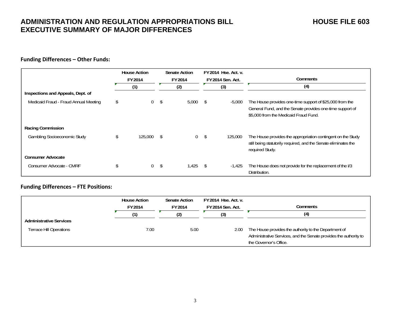#### **Funding Differences – Other Funds:**

|                                       | <b>House Action</b><br>FY 2014 |    | <b>Senate Action</b><br>FY 2014 |    | FY 2014 Hse. Act. v.<br><b>FY 2014 Sen. Act.</b> | Comments                                                                                                                                                       |
|---------------------------------------|--------------------------------|----|---------------------------------|----|--------------------------------------------------|----------------------------------------------------------------------------------------------------------------------------------------------------------------|
|                                       | (1)                            |    | (2)                             |    | (3)                                              | (4)                                                                                                                                                            |
| Inspections and Appeals, Dept. of     |                                |    |                                 |    |                                                  |                                                                                                                                                                |
| Medicaid Fraud - Fraud Annual Meeting | \$<br>$\Omega$                 | \$ | 5,000                           | S. | $-5,000$                                         | The House provides one-time support of \$25,000 from the<br>General Fund, and the Senate provides one-time support of<br>\$5,000 from the Medicaid Fraud Fund. |
| Racing Commission                     |                                |    |                                 |    |                                                  |                                                                                                                                                                |
| Gambling Socioeconomic Study          | \$<br>125,000                  | -S | 0                               | \$ | 125,000                                          | The House provides the appropriation contingent on the Study<br>still being statutorily required, and the Senate eliminates the<br>required Study.             |
| <b>Consumer Advocate</b>              |                                |    |                                 |    |                                                  |                                                                                                                                                                |
| Consumer Advocate - CMRF              | $\Omega$                       | \$ | 1,425                           | \$ | $-1,425$                                         | The House does not provide for the replacement of the I/3<br>Distribution.                                                                                     |

#### **Funding Differences – FTE Positions:**

|                                | <b>House Action</b><br>FY 2014 | <b>Senate Action</b><br>FY 2014 | FY 2014 Hse. Act. v.<br>FY 2014 Sen. Act. | Comments                                                                                                                                             |
|--------------------------------|--------------------------------|---------------------------------|-------------------------------------------|------------------------------------------------------------------------------------------------------------------------------------------------------|
|                                |                                | (2)                             | (3)                                       | (4)                                                                                                                                                  |
| <b>Administrative Services</b> |                                |                                 |                                           |                                                                                                                                                      |
| <b>Terrace Hill Operations</b> | 7.00                           | 5.00                            | 2.00                                      | The House provides the authority to the Department of<br>Administrative Services, and the Senate provides the authority to<br>the Governor's Office. |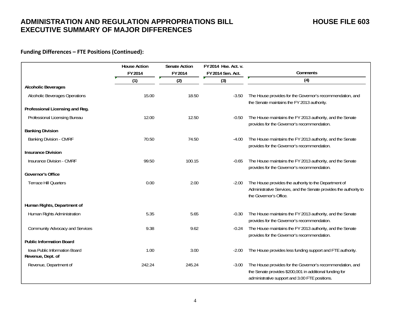### **Funding Differences – FTE Positions (Continued):**

|                                                    | <b>House Action</b> | <b>Senate Action</b> | FY 2014 Hse. Act. v. |                                                                                                                                                                        |
|----------------------------------------------------|---------------------|----------------------|----------------------|------------------------------------------------------------------------------------------------------------------------------------------------------------------------|
|                                                    | FY 2014             | FY 2014              | FY 2014 Sen. Act.    | Comments                                                                                                                                                               |
|                                                    | (1)                 | (2)                  | (3)                  | (4)                                                                                                                                                                    |
| <b>Alcoholic Beverages</b>                         |                     |                      |                      |                                                                                                                                                                        |
| Alcoholic Beverages Operations                     | 15.00               | 18.50                | $-3.50$              | The House provides for the Governor's recommendation, and<br>the Senate maintains the FY 2013 authority.                                                               |
| Professional Licensing and Reg.                    |                     |                      |                      |                                                                                                                                                                        |
| Professional Licensing Bureau                      | 12.00               | 12.50                | $-0.50$              | The House maintains the FY 2013 authority, and the Senate<br>provides for the Governor's recommendation.                                                               |
| <b>Banking Division</b>                            |                     |                      |                      |                                                                                                                                                                        |
| Banking Division - CMRF                            | 70.50               | 74.50                | $-4.00$              | The House maintains the FY 2013 authority, and the Senate<br>provides for the Governor's recommendation.                                                               |
| <b>Insurance Division</b>                          |                     |                      |                      |                                                                                                                                                                        |
| Insurance Division - CMRF                          | 99.50               | 100.15               | $-0.65$              | The House maintains the FY 2013 authority, and the Senate<br>provides for the Governor's recommendation.                                                               |
| <b>Governor's Office</b>                           |                     |                      |                      |                                                                                                                                                                        |
| <b>Terrace Hill Quarters</b>                       | 0.00                | 2.00                 | $-2.00$              | The House provides the authority to the Department of<br>Administrative Services, and the Senate provides the authority to<br>the Governor's Office.                   |
| Human Rights, Department of                        |                     |                      |                      |                                                                                                                                                                        |
| Human Rights Administration                        | 5.35                | 5.65                 | $-0.30$              | The House maintains the FY 2013 authority, and the Senate<br>provides for the Governor's recommendation.                                                               |
| Community Advocacy and Services                    | 9.38                | 9.62                 | $-0.24$              | The House maintains the FY 2013 authority, and the Senate<br>provides for the Governor's recommendation.                                                               |
| <b>Public Information Board</b>                    |                     |                      |                      |                                                                                                                                                                        |
| Iowa Public Information Board<br>Revenue, Dept. of | 1.00                | 3.00                 | $-2.00$              | The House provides less funding support and FTE authority.                                                                                                             |
| Revenue, Department of                             | 242.24              | 245.24               | $-3.00$              | The House provides for the Governor's recommendation, and<br>the Senate provides \$200,001 in additional funding for<br>administrative support and 3.00 FTE positions. |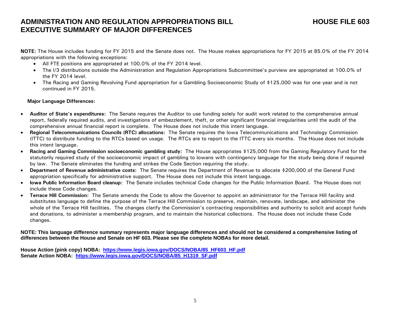**NOTE:** The House includes funding for FY 2015 and the Senate does not. The House makes appropriations for FY 2015 at 85.0% of the FY 2014 appropriations with the following exceptions:

- All FTE positions are appropriated at 100.0% of the FY 2014 level.
- The I/3 distributions outside the Administration and Regulation Appropriations Subcommittee's purview are appropriated at 100.0% of the FY 2014 level.
- The Racing and Gaming Revolving Fund appropriation for a Gambling Socioeconomic Study of \$125,000 was for one year and is not continued in FY 2015.

#### **Major Language Differences:**

- c **Auditor of State's expenditures:** The Senate requires the Auditor to use funding solely for audit work related to the comprehensive annual report, federally required audits, and investigations of embezzlement, theft, or other significant financial irregularities until the audit of the comprehensive annual financial report is complete. The House does not include this intent language.
- c **Regional Telecommunications Councils (RTC) allocations:** The Senate requires the Iowa Telecommunications and Technology Commission (ITTC) to distribute funding to the RTCs based on usage. The RTCs are to report to the ITTC every six months. The House does not include this intent language.
- $\bullet$  **Racing and Gaming Commission socioeconomic gambling study:** The House appropriates \$125,000 from the Gaming Regulatory Fund for the statutorily required study of the socioeconomic impact of gambling to Iowans with contingency language for the study being done if required by law. The Senate eliminates the funding and strikes the Code Section requiring the study.
- $\bullet$  **Department of Revenue administrative costs:** The Senate requires the Department of Revenue to allocate \$200,000 of the General Fund appropriation specifically for administrative support. The House does not include this intent language.
- **Iowa Public Information Board cleanup:** The Senate includes technical Code changes for the Public Information Board. The House does not include these Code changes.
- c **Terrace Hill Commission:** The Senate amends the Code to allow the Governor to appoint an administrator for the Terrace Hill facility and substitutes language to define the purpose of the Terrace Hill Commission to preserve, maintain, renovate, landscape, and administer the whole of the Terrace Hill facilities. The changes clarify the Commission's contracting responsibilities and authority to solicit and accept funds and donations, to administer a membership program, and to maintain the historical collections. The House does not include these Code changes.

**NOTE: This language difference summary represents major language differences and should not be considered a comprehensive listing of differences between the House and Senate on HF 603. Please see the complete NOBAs for more detail.** 

**House Action (pink copy) NOBA: https://www.legis.iowa.gov/DOCS/NOBA/85\_HF603\_HF.pdf** Senate Action NOBA: https://www.legis.iowa.gov/DOCS/NOBA/85\_H1319\_SF.pdf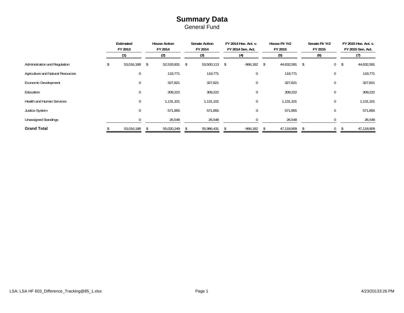### **Summary Data** General Fund

|                                   | Estimated<br>FY 2013 |    | <b>House Action</b><br>FY 2014 |    | <b>Senate Action</b><br>FY 2014 |  | FY 2014 Hse. Act. v.<br>FY 2014 Sen. Act. | House Flr Yr2<br>FY 2015 |            | Senate Flr Yr2<br>FY 2015 |     |                | FY 2015 Hse. Act. v.<br>FY 2015 Sen. Act. |            |
|-----------------------------------|----------------------|----|--------------------------------|----|---------------------------------|--|-------------------------------------------|--------------------------|------------|---------------------------|-----|----------------|-------------------------------------------|------------|
|                                   | (1)                  |    | (2)                            |    | (3)                             |  | (4)                                       |                          | (5)        |                           | (6) |                |                                           |            |
| Administration and Regulation     | 53,016,188           | \$ | 52,533,931                     | \$ | 53,500,113 \$                   |  | -966,182                                  | -S                       | 44,632,591 | \$                        |     | $\overline{0}$ | -\$                                       | 44,632,591 |
| Agriculture and Natural Resources | $\mathbf 0$          |    | 119,771                        |    | 119,771                         |  | $\mathbf 0$                               |                          | 119,771    |                           |     | 0              |                                           | 119,771    |
| Economic Development              | $\mathbf{0}$         |    | 327,821                        |    | 327,821                         |  | $\mathbf 0$                               |                          | 327,821    |                           |     | 0              |                                           | 327,821    |
| Education                         | $\mathbf{0}$         |    | 309,222                        |    | 309,222                         |  | $\mathbf 0$                               |                          | 309,222    |                           |     | 0              |                                           | 309,222    |
| <b>Health and Human Services</b>  | $\mathbf 0$          |    | 1,131,101                      |    | 1,131,101                       |  | $\mathbf 0$                               |                          | 1,131,101  |                           |     | 0              |                                           | 1,131,101  |
| Justice System                    | $\mathbf 0$          |    | 571,855                        |    | 571,855                         |  | $\mathbf 0$                               |                          | 571,855    |                           |     | 0              |                                           | 571,855    |
| <b>Unassigned Standings</b>       |                      |    | 26,548                         |    | 26,548                          |  |                                           |                          | 26,548     |                           |     | $\Omega$       |                                           | 26,548     |
| <b>Grand Total</b>                | 53,016,188           |    | 55,020,249                     |    | 55,986,431                      |  | $-966,182$                                |                          | 47,118,909 |                           |     | $\mathbf{0}$   |                                           | 47,118,909 |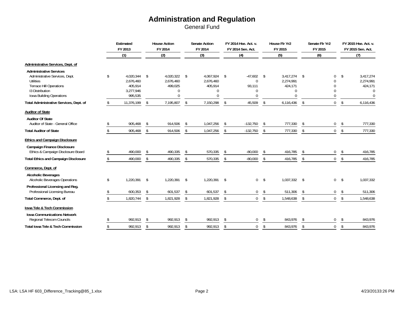|                                                                                                                                                         |               | Estimated<br>FY 2013                                      |                | <b>House Action</b><br>FY 2014                            |               | <b>Senate Action</b><br>FY 2014                              |                | FY 2014 Hse, Act. v.<br>FY 2014 Sen. Act. |                | House Flr Yr2<br>FY 2015                                  |            | Senate Flr Yr2<br>FY 2015                  |               | FY 2015 Hse. Act. v.<br>FY 2015 Sen. Act.                 |
|---------------------------------------------------------------------------------------------------------------------------------------------------------|---------------|-----------------------------------------------------------|----------------|-----------------------------------------------------------|---------------|--------------------------------------------------------------|----------------|-------------------------------------------|----------------|-----------------------------------------------------------|------------|--------------------------------------------|---------------|-----------------------------------------------------------|
|                                                                                                                                                         |               | (1)                                                       |                | (2)                                                       |               | (3)                                                          |                | (4)                                       |                | (5)                                                       |            | (6)                                        |               | (7)                                                       |
| Administrative Services, Dept. of                                                                                                                       |               |                                                           |                |                                                           |               |                                                              |                |                                           |                |                                                           |            |                                            |               |                                                           |
| <b>Administrative Services</b><br>Administrative Services, Dept.<br>Utilities<br>Terrace Hill Operations<br>13 Distribution<br>Iowa Building Operations | \$            | 4.020.344<br>2,676,460<br>405,914<br>3,277,946<br>995,535 | \$             | 4,020,322<br>2,676,460<br>499,025<br>$\Omega$<br>$\Omega$ | \$            | 4,067,924 \$<br>2,676,460<br>405,914<br>$\Omega$<br>$\Omega$ |                | $-47,602$<br>0<br>93,111<br>0<br>$\Omega$ | \$             | 3.417.274<br>2,274,991<br>424,171<br>$\Omega$<br>$\Omega$ | \$         | 0<br>$\Omega$<br>0<br>$\Omega$<br>$\Omega$ | \$            | 3,417,274<br>2,274,991<br>424,171<br>$\Omega$<br>$\Omega$ |
| Total Administrative Services, Dept. of                                                                                                                 |               | 11,376,199                                                | $\mathfrak{L}$ | 7,195,807                                                 | $\mathsf{\$}$ | 7,150,298                                                    | $\mathfrak{L}$ | 45,509                                    | \$             | 6,116,436                                                 | \$         | $\overline{0}$                             | \$            | 6,116,436                                                 |
| <b>Auditor of State</b>                                                                                                                                 |               |                                                           |                |                                                           |               |                                                              |                |                                           |                |                                                           |            |                                            |               |                                                           |
| <b>Auditor Of State</b><br>Auditor of State - General Office                                                                                            |               | 905,468                                                   | \$             | 914,506                                                   | -\$           | 1,047,256                                                    | \$             | $-132,750$                                | \$             | 777,330                                                   | \$         | 0                                          | \$            | 777,330                                                   |
| <b>Total Auditor of State</b>                                                                                                                           |               | 905,468                                                   | \$             | 914,506                                                   | \$            | 1,047,256                                                    | $\mathfrak{L}$ | $-132,750$                                | \$             | 777,330                                                   | \$         | $\overline{0}$                             | \$            | 777,330                                                   |
| <b>Ethics and Campaign Disclosure</b>                                                                                                                   |               |                                                           |                |                                                           |               |                                                              |                |                                           |                |                                                           |            |                                            |               |                                                           |
| <b>Campaign Finance Disclosure</b><br>Ethics & Campaign Disclosure Board                                                                                |               | 490,000                                                   | \$             | 490,335                                                   | -\$           | 570,335                                                      | -S             | $-80,000$                                 | \$             | 416,785                                                   | \$         | 0                                          | \$            | 416,785                                                   |
| <b>Total Ethics and Campaign Disclosure</b>                                                                                                             | $\mathcal{S}$ | 490,000                                                   | \$             | 490,335                                                   | \$            | 570,335                                                      | \$             | $-80,000$                                 | \$             | 416,785                                                   | \$         | $\overline{0}$                             | \$            | 416,785                                                   |
| Commerce, Dept. of                                                                                                                                      |               |                                                           |                |                                                           |               |                                                              |                |                                           |                |                                                           |            |                                            |               |                                                           |
| <b>Alcoholic Beverages</b><br><b>Alcoholic Beverages Operations</b>                                                                                     | \$            | 1,220,391 \$                                              |                | 1,220,391                                                 | \$            | 1,220,391 \$                                                 |                |                                           | 0 <sup>5</sup> | 1,037,332                                                 | $\sqrt{2}$ | $\overline{0}$                             | $\mathsf{\$}$ | 1,037,332                                                 |
| Professional Licensing and Reg.<br>Professional Licensing Bureau                                                                                        |               | 600,353                                                   | \$             | 601,537                                                   | \$            | 601,537                                                      | <sup>\$</sup>  | $\mathbf 0$                               | \$             | 511,306                                                   | \$         | $\overline{0}$                             | \$            | 511,306                                                   |
| Total Commerce, Dept. of                                                                                                                                |               | 1,820,744                                                 | \$             | 1,821,928                                                 | \$            | 1,821,928                                                    | \$             | $\overline{0}$                            | $\sqrt[6]{}$   | 1,548,638                                                 | \$         | $\overline{0}$                             | \$            | 1,548,638                                                 |
| lowa Tele & Tech Commission                                                                                                                             |               |                                                           |                |                                                           |               |                                                              |                |                                           |                |                                                           |            |                                            |               |                                                           |
| <b>Iowa Communications Network</b><br>Regional Telecom Councils                                                                                         |               | 992,913                                                   | \$             | 992,913                                                   | \$            | 992,913                                                      | $\mathfrak{L}$ | $\mathbf 0$                               | \$             | 843,976                                                   | \$         | 0                                          | \$            | 843,976                                                   |
| Total Iowa Tele & Tech Commission                                                                                                                       |               | 992,913                                                   | \$             | 992,913                                                   | \$            | 992,913                                                      | \$             | 0                                         | \$             | 843,976                                                   | \$         | $\mathbf 0$                                | \$            | 843,976                                                   |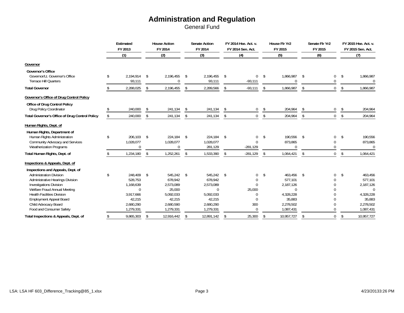|                                                                                                                                                                                                                                                                                                      | Estimated<br>FY 2013                                                                               |    | <b>House Action</b><br>FY 2014                                                             | <b>Senate Action</b><br>FY 2014                                                                           |            | FY 2014 Hse. Act. v.<br>FY 2014 Sen. Act.                                      | House Flr Yr2<br>FY 2015                                                                           | Senate Flr Yr2<br>FY 2015                                |    | FY 2015 Hse. Act. v.<br>FY 2015 Sen. Act.                                                    |
|------------------------------------------------------------------------------------------------------------------------------------------------------------------------------------------------------------------------------------------------------------------------------------------------------|----------------------------------------------------------------------------------------------------|----|--------------------------------------------------------------------------------------------|-----------------------------------------------------------------------------------------------------------|------------|--------------------------------------------------------------------------------|----------------------------------------------------------------------------------------------------|----------------------------------------------------------|----|----------------------------------------------------------------------------------------------|
|                                                                                                                                                                                                                                                                                                      | (1)                                                                                                |    | (2)                                                                                        | (3)                                                                                                       |            | (4)                                                                            | (5)                                                                                                | (6)                                                      |    | (7)                                                                                          |
| Governor                                                                                                                                                                                                                                                                                             |                                                                                                    |    |                                                                                            |                                                                                                           |            |                                                                                |                                                                                                    |                                                          |    |                                                                                              |
| <b>Governor's Office</b><br>Governor/Lt. Governor's Office<br><b>Terrace Hill Quarters</b>                                                                                                                                                                                                           | \$<br>2.194.914<br>93,111                                                                          | \$ | 2,196,455<br>0                                                                             | \$<br>2,196,455<br>93,111                                                                                 | $\sqrt{ }$ | 0<br>$-93,111$                                                                 | \$<br>1,866,987<br>$\mathbf 0$                                                                     | \$<br>0<br>$\Omega$                                      | \$ | 1,866,987<br>$\Omega$                                                                        |
| <b>Total Governor</b>                                                                                                                                                                                                                                                                                | 2,288,025                                                                                          | \$ | 2,196,455                                                                                  | \$<br>2,289,566                                                                                           | \$         | $-93,111$                                                                      | \$<br>1,866,987                                                                                    | \$<br>$\overline{0}$                                     | \$ | 1,866,987                                                                                    |
| Governor's Office of Drug Control Policy                                                                                                                                                                                                                                                             |                                                                                                    |    |                                                                                            |                                                                                                           |            |                                                                                |                                                                                                    |                                                          |    |                                                                                              |
| <b>Office of Drug Control Policy</b><br>Drug Policy Coordinator                                                                                                                                                                                                                                      | 240,000                                                                                            | -S | 241,134                                                                                    | \$<br>241,134                                                                                             | \$         | 0                                                                              | \$<br>204,964                                                                                      | \$<br>0                                                  | \$ | 204,964                                                                                      |
| <b>Total Governor's Office of Drug Control Policy</b>                                                                                                                                                                                                                                                | 240,000                                                                                            | \$ | 241,134                                                                                    | \$<br>241,134                                                                                             | \$         | 0                                                                              | \$<br>204,964                                                                                      | \$<br>$\mathbf 0$                                        | \$ | 204,964                                                                                      |
| Human Rights, Dept. of                                                                                                                                                                                                                                                                               |                                                                                                    |    |                                                                                            |                                                                                                           |            |                                                                                |                                                                                                    |                                                          |    |                                                                                              |
| Human Rights, Department of<br>Human Rights Administration<br>Community Advocacy and Services<br><b>Weatherization Programs</b>                                                                                                                                                                      | \$<br>206.103<br>1,028,077<br>$\Omega$                                                             | \$ | 224,184<br>1,028,077<br>$\Omega$                                                           | \$<br>224,184<br>1,028,077<br>281,129                                                                     | \$         | 0<br>$\Omega$<br>$-281,129$                                                    | \$<br>190,556<br>873,865<br>$\Omega$                                                               | \$<br>$\mathbf 0$<br>0<br>$\Omega$                       | \$ | 190,556<br>873,865<br>$\Omega$                                                               |
| Total Human Rights, Dept. of                                                                                                                                                                                                                                                                         | 1,234,180                                                                                          | \$ | 1,252,261                                                                                  | \$<br>1,533,390                                                                                           | \$         | $-281,129$                                                                     | \$<br>1,064,421                                                                                    | \$<br>$\overline{0}$                                     | \$ | 1,064,421                                                                                    |
| Inspections & Appeals, Dept. of                                                                                                                                                                                                                                                                      |                                                                                                    |    |                                                                                            |                                                                                                           |            |                                                                                |                                                                                                    |                                                          |    |                                                                                              |
| Inspections and Appeals, Dept. of<br><b>Administration Division</b><br>Administrative Hearings Division<br><b>Investigations Division</b><br>Welfare Fraud Annual Meeting<br><b>Health Facilities Division</b><br><b>Employment Appeal Board</b><br>Child Advocacy Board<br>Food and Consumer Safety | \$<br>248,409<br>528,753<br>1,168,639<br>$\Omega$<br>3,917,666<br>42,215<br>2,680,290<br>1,279,331 | \$ | 545,242<br>678,942<br>2,573,089<br>25,000<br>5,092,033<br>42,215<br>2,680,590<br>1,279,331 | \$<br>545,242 \$<br>678,942<br>2,573,089<br>$\mathbf{0}$<br>5,092,033<br>42,215<br>2,680,290<br>1,279,331 |            | 0<br>$\Omega$<br>$\Omega$<br>25,000<br>$\Omega$<br>$\Omega$<br>300<br>$\Omega$ | \$<br>463,456<br>577,101<br>2,187,126<br>$\Omega$<br>4,328,228<br>35,883<br>2,278,502<br>1,087,431 | \$<br>0<br>$\Omega$<br>0<br>0<br>0<br>0<br>0<br>$\Omega$ | \$ | 463,456<br>577,101<br>2,187,126<br>$\Omega$<br>4,328,228<br>35,883<br>2,278,502<br>1,087,431 |
| Total Inspections & Appeals, Dept. of                                                                                                                                                                                                                                                                | 9,865,303                                                                                          | \$ | 12,916,442                                                                                 | \$<br>12,891,142                                                                                          | \$         | 25,300                                                                         | \$<br>10,957,727                                                                                   | \$<br>0                                                  | Ŝ. | 10,957,727                                                                                   |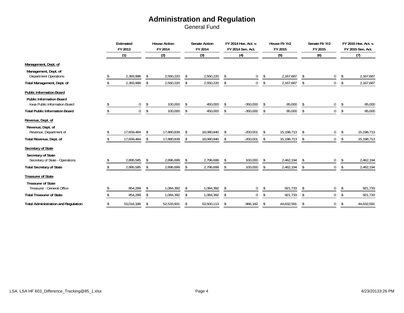|                                                                    | Estimated<br>FY 2013 |     | <b>House Action</b><br>FY 2014 |     | <b>Senate Action</b><br>FY 2014 |                | FY 2014 Hse. Act. v.<br>FY 2014 Sen. Act. | House Flr Yr2<br>FY 2015 |    | Senate Flr Yr2<br>FY 2015 | FY 2015 Hse. Act. v.<br>FY 2015 Sen. Act. |            |
|--------------------------------------------------------------------|----------------------|-----|--------------------------------|-----|---------------------------------|----------------|-------------------------------------------|--------------------------|----|---------------------------|-------------------------------------------|------------|
|                                                                    | (1)                  |     | (2)                            |     | (3)                             |                | (4)                                       | (5)                      |    | (6)                       |                                           | (7)        |
| Management, Dept. of                                               |                      |     |                                |     |                                 |                |                                           |                          |    |                           |                                           |            |
| Management, Dept. of<br><b>Department Operations</b>               | 2,393,998            | \$  | 2,550,220                      | -\$ | 2,550,220                       | -\$            | $\mathbf 0$                               | \$<br>2,167,687          | \$ | 0                         | \$                                        | 2,167,687  |
| Total Management, Dept. of                                         | 2,393,998            | \$  | 2,550,220                      | \$  | 2,550,220                       | \$             | 0                                         | \$<br>2,167,687          | \$ | 0                         | -S                                        | 2,167,687  |
| <b>Public Information Board</b><br><b>Public Information Board</b> |                      |     |                                |     |                                 |                |                                           |                          |    |                           |                                           |            |
| <b>Iowa Public Information Board</b>                               | $\boldsymbol{0}$     | \$  | 100,000                        | S.  | 450,000                         | S              | $-350,000$                                | \$<br>85,000             | \$ | 0                         | \$                                        | 85,000     |
| <b>Total Public Information Board</b>                              | $\mathbf 0$          | \$  | 100,000                        | \$  | 450,000                         | -S             | $-350,000$                                | \$<br>85,000             | \$ | 0                         | \$                                        | 85,000     |
| Revenue, Dept. of                                                  |                      |     |                                |     |                                 |                |                                           |                          |    |                           |                                           |            |
| Revenue, Dept. of<br>Revenue, Department of                        | 17,659,484           | -S  | 17,880,839                     | \$  | 18,080,840                      | -\$            | $-200,001$                                | \$<br>15,198,713         | \$ | 0                         | \$                                        | 15,198,713 |
| Total Revenue, Dept. of                                            | 17,659,484           | \$  | 17,880,839                     | \$  | 18,080,840                      | \$             | $-200,001$                                | \$<br>15,198,713         | \$ | $\mathbf 0$               | \$                                        | 15,198,713 |
| Secretary of State<br>Secretary of State                           |                      |     |                                |     |                                 |                |                                           |                          |    |                           |                                           |            |
| Secretary of State - Operations                                    | 2,895,585            | -\$ | 2,896,699                      | \$  | 2,796,699                       | -S             | 100,000                                   | \$<br>2,462,194          | \$ | 0                         | Ŝ.                                        | 2,462,194  |
| <b>Total Secretary of State</b>                                    | 2,895,585            | \$  | 2,896,699                      | \$  | 2,796,699                       | $\mathfrak{L}$ | 100,000                                   | \$<br>2,462,194          | \$ | 0                         | Ŝ.                                        | 2,462,194  |
| <b>Treasurer of State</b>                                          |                      |     |                                |     |                                 |                |                                           |                          |    |                           |                                           |            |
| <b>Treasurer of State</b><br>Treasurer - General Office            | 854,289              | S.  | 1,084,392                      | Ŝ.  | 1,084,392                       | S.             | 0                                         | \$<br>921,733            | \$ | 0                         | -S                                        | 921,733    |
| <b>Total Treasurer of State</b>                                    | 854,289              | \$  | 1,084,392                      | Ŝ.  | 1,084,392                       |                | $\mathbf 0$                               | \$<br>921,733            | \$ | $\overline{0}$            | \$                                        | 921,733    |
| <b>Total Administration and Regulation</b>                         | 53,016,188           | S   | 52,533,931                     | S   | 53,500,113                      | S              | $-966, 182$                               | \$<br>44,632,591         | Ŝ. | 0                         | \$                                        | 44,632,591 |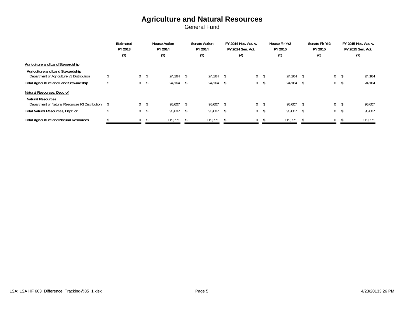### **Agriculture and Natural Resources**

|                                                                                | Estimated<br>FY 2013 | <b>House Action</b><br>FY 2014 | <b>Senate Action</b><br>FY 2014 | FY 2014 Hse. Act. v.<br>FY 2014 Sen. Act. |     | House Flr Yr2<br>FY 2015 |         | Senate Flr Yr2<br>FY 2015 | FY 2015 Hse. Act. v.<br>FY 2015 Sen. Act. |  |         |
|--------------------------------------------------------------------------------|----------------------|--------------------------------|---------------------------------|-------------------------------------------|-----|--------------------------|---------|---------------------------|-------------------------------------------|--|---------|
|                                                                                | (1)                  |                                | (2)                             | (3)                                       | (4) |                          | (5)     |                           | (6)                                       |  |         |
| Agriculture and Land Stewardship                                               |                      |                                |                                 |                                           |     |                          |         |                           |                                           |  |         |
| Agriculture and Land Stewardship<br>Department of Agriculture I/3 Distribution | $\mathbf{0}$         | -S                             | 24,164                          | 24,164                                    | 0   | -S                       | 24,164  |                           | $\mathbf{0}$                              |  | 24,164  |
| <b>Total Agriculture and Land Stewardship</b>                                  | $\bf{0}$             |                                | 24,164                          | 24,164                                    | 0   |                          | 24,164  |                           | 0                                         |  | 24,164  |
| Natural Resources, Dept. of                                                    |                      |                                |                                 |                                           |     |                          |         |                           |                                           |  |         |
| <b>Natural Resources</b><br>Department of Natural Resources I/3 Distribution   | $\mathbf{0}$         |                                | 95,607                          | 95,607                                    | 0   |                          | 95,607  |                           | $\Omega$                                  |  | 95,607  |
| Total Natural Resources, Dept. of                                              | 0                    |                                | 95,607                          | 95,607                                    | U   |                          | 95,607  |                           | 0                                         |  | 95,607  |
| <b>Total Agriculture and Natural Resources</b>                                 | $\mathbf{0}$         | -S                             | 119.771                         | 119,771                                   | 0   |                          | 119,771 |                           | $\mathbf{0}$                              |  | 119,771 |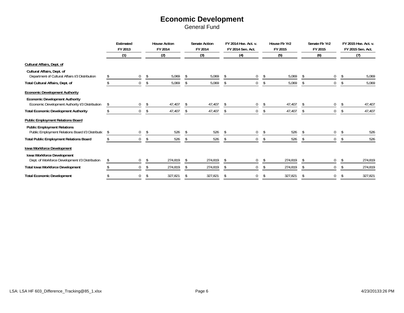## **Economic Development**

|                                                                                          |     | Estimated<br>FY 2013 |    | <b>House Action</b><br>FY 2014 |     | <b>Senate Action</b><br>FY 2014 |    | FY 2014 Hse. Act. v.<br>FY 2014 Sen. Act. |      | House Flr Yr2<br>FY 2015 |               | Senate Flr Yr2<br>FY 2015 |    | FY 2015 Hse. Act. v.<br>FY 2015 Sen. Act. |
|------------------------------------------------------------------------------------------|-----|----------------------|----|--------------------------------|-----|---------------------------------|----|-------------------------------------------|------|--------------------------|---------------|---------------------------|----|-------------------------------------------|
|                                                                                          |     | (1)                  |    | (2)                            |     | (3)                             |    | (4)                                       |      | (5)                      |               | (6)                       |    | (7)                                       |
| Cultural Affairs, Dept. of                                                               |     |                      |    |                                |     |                                 |    |                                           |      |                          |               |                           |    |                                           |
| Cultural Affairs, Dept. of<br>Department of Cultural Affairs I/3 Distribution            |     | $\mathbf 0$          | \$ | 5,069                          | \$  | 5,069                           | -S | 0                                         | - \$ | 5,069                    | <sup>\$</sup> | 0                         | -S | 5,069                                     |
| Total Cultural Affairs, Dept. of                                                         |     | $\mathbf{0}$         |    | 5,069                          |     | 5,069                           |    | 0                                         | S    | 5,069                    |               |                           |    | 5,069                                     |
| <b>Economic Development Authority</b>                                                    |     |                      |    |                                |     |                                 |    |                                           |      |                          |               |                           |    |                                           |
| <b>Economic Development Authority</b><br>Economic Development Authority I/3 Distribution | \$  | $\mathbf 0$          | \$ | 47,407                         |     | 47,407                          |    | 0                                         | \$   | 47,407                   | Ŝ.            | 0                         | -S | 47,407                                    |
| <b>Total Economic Development Authority</b>                                              |     | $\mathbf{0}$         | -S | 47,407                         |     | 47,407                          |    | 0                                         | Ŝ.   | 47,407                   | S.            | 0                         |    | 47,407                                    |
| <b>Public Employment Relations Board</b>                                                 |     |                      |    |                                |     |                                 |    |                                           |      |                          |               |                           |    |                                           |
| <b>Public Employment Relations</b><br>Public Employment Relations Board I/3 Distributic  | -\$ | 0                    | \$ | 526                            | -\$ | 526                             |    | 0                                         | -S   | 526                      |               |                           |    | 526                                       |
| <b>Total Public Employment Relations Board</b>                                           |     | $\mathbf{0}$         | \$ | 526                            | -S  | 526                             | -S | 0                                         | \$   | 526                      | S.            | 0                         |    | 526                                       |
| Iowa Workforce Development<br>Iowa Workforce Development                                 |     |                      |    |                                |     |                                 |    |                                           |      |                          |               |                           |    |                                           |
| Dept. of Workforce Development I/3 Distribution                                          | \$  | $\mathbf 0$          | -S | 274,819                        |     | 274,819                         |    | 0                                         | S.   | 274,819                  |               |                           |    | 274,819                                   |
| <b>Total Iowa Workforce Development</b>                                                  |     | $\Omega$             | -S | 274,819                        |     | 274,819                         |    | 0                                         |      | 274,819                  | S.            |                           |    | 274,819                                   |
| <b>Total Economic Development</b>                                                        |     | $\Omega$             | -S | 327,821                        |     | 327,821                         |    | 0                                         | S    | 327,821                  | <sup>\$</sup> |                           |    | 327,821                                   |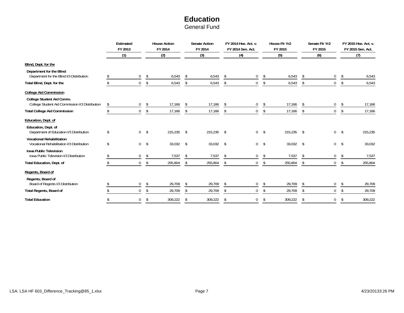## **Education**

|                                                                                | Estimated<br>FY 2013 |                | <b>House Action</b><br>FY 2014 |     | <b>Senate Action</b><br>FY 2014 | FY 2014 Hse. Act. v.<br>FY 2014 Sen. Act. |               | House Flr Yr2<br>FY 2015 |    | Senate Flr Yr2<br>FY 2015 |     | FY 2015 Hse. Act. v.<br>FY 2015 Sen. Act. |
|--------------------------------------------------------------------------------|----------------------|----------------|--------------------------------|-----|---------------------------------|-------------------------------------------|---------------|--------------------------|----|---------------------------|-----|-------------------------------------------|
|                                                                                | (1)                  |                | (2)                            |     | (3)                             | (4)                                       |               | (5)                      |    | (6)                       |     | (7)                                       |
| Blind, Dept. for the                                                           |                      |                |                                |     |                                 |                                           |               |                          |    |                           |     |                                           |
| Department for the Blind<br>Department for the Blind I/3 Distribution          | $\mathbf 0$          | \$             | 6,543                          | -\$ | 6,543                           | \$<br>0                                   | \$            | 6,543                    | \$ | 0                         | \$  | 6,543                                     |
| Total Blind, Dept. for the                                                     | $\mathbf 0$          | \$             | 6,543                          | \$  | 6,543                           | \$<br>0                                   | \$            | 6,543                    | \$ | $\mathbf 0$               | -S  | 6,543                                     |
| <b>College Aid Commission</b>                                                  |                      |                |                                |     |                                 |                                           |               |                          |    |                           |     |                                           |
| College Student Aid Comm.<br>College Student Aid Commission I/3 Distribution   | \$<br>$\mathbf 0$    | \$             | 17,166                         | -S  | 17,166                          | \$<br>$\mathbf 0$                         | \$            | 17,166                   | \$ | 0                         |     | 17,166                                    |
| <b>Total College Aid Commission</b>                                            | $\mathbf 0$          | \$             | 17,166                         | S.  | 17,166                          | \$<br>$\mathbf 0$                         | \$            | 17,166                   | Ŝ. | $\mathbf 0$               | Ŝ.  | 17,166                                    |
| Education, Dept. of                                                            |                      |                |                                |     |                                 |                                           |               |                          |    |                           |     |                                           |
| Education, Dept. of<br>Department of Education I/3 Distribution                | \$                   | 0 <sup>5</sup> | 215,235                        | \$  | $215,235$ \$                    | 0                                         | $\mathsf{\$}$ | 215,235                  | \$ | 0                         | \$  | 215,235                                   |
| <b>Vocational Rehabilitation</b><br>Vocational Rehabilitation I/3 Distribution | \$<br>$\overline{0}$ | $\sqrt[6]{}$   | 33,032 \$                      |     | 33,032 \$                       | $\overline{0}$                            | $\mathsf{\$}$ | $33,032$ \$              |    | $\overline{0}$            | -\$ | 33,032                                    |
| <b>Iowa Public Television</b><br>Iowa Public Television I/3 Distribution       | $\mathbf 0$          | \$             | 7,537                          | -\$ | 7,537                           | \$<br>$\mathbf 0$                         | \$            | 7,537                    | \$ | 0                         | -S  | 7,537                                     |
| <b>Total Education, Dept. of</b>                                               | $\mathbf{0}$         | \$             | 255,804                        | \$  | 255,804                         | \$<br>$\mathbf 0$                         | \$            | 255,804                  | \$ | $\mathbf 0$               | Ŝ.  | 255,804                                   |
| Regents, Board of                                                              |                      |                |                                |     |                                 |                                           |               |                          |    |                           |     |                                           |
| Regents, Board of<br>Board of Regents I/3 Distribution                         | $\mathbf 0$          | \$             | 29,709                         | \$  | 29,709                          | \$<br>0                                   | \$            | 29,709                   | \$ | $\boldsymbol{0}$          | Ŝ.  | 29,709                                    |
| <b>Total Regents, Board of</b>                                                 | $\mathbf 0$          | \$             | 29,709                         | -\$ | 29,709                          | \$<br>0                                   | \$            | 29,709                   | \$ | $\mathbf 0$               | -S  | 29,709                                    |
| <b>Total Education</b>                                                         | $\Omega$             | -\$            | 309,222                        | \$  | 309,222                         | \$<br>0                                   | \$            | 309,222                  | \$ | $\Omega$                  |     | 309,222                                   |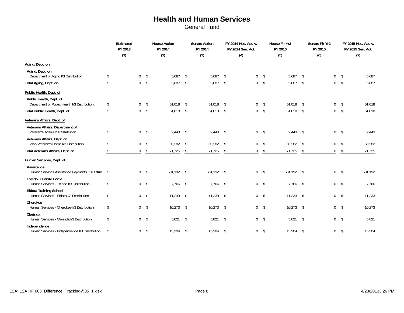## **Health and Human Services**

|                                                                           |               | Estimated<br>FY 2013 |                | <b>House Action</b><br>FY 2014 |                         | <b>Senate Action</b><br>FY 2014 |               | FY 2014 Hse. Act. v.<br>FY 2014 Sen. Act. |                         | House Flr Yr2<br>FY 2015 |            | Senate Flr Yr2<br>FY 2015 |               | FY 2015 Hse. Act. v.<br>FY 2015 Sen. Act. |
|---------------------------------------------------------------------------|---------------|----------------------|----------------|--------------------------------|-------------------------|---------------------------------|---------------|-------------------------------------------|-------------------------|--------------------------|------------|---------------------------|---------------|-------------------------------------------|
|                                                                           |               | (1)                  |                | (2)                            |                         | (3)                             |               | (4)                                       |                         | (5)                      |            | (6)                       |               | (7)                                       |
| Aging, Dept. on                                                           |               |                      |                |                                |                         |                                 |               |                                           |                         |                          |            |                           |               |                                           |
| Aging, Dept. on<br>Department of Aging I/3 Distribution                   |               | $\mathbf 0$          | \$             | 5,687                          | \$                      | 5,687                           | -\$           | $\mathbf 0$                               | \$                      | 5,687                    | \$         | $\overline{0}$            | \$            | 5,687                                     |
| Total Aging, Dept. on                                                     | $\mathcal{L}$ | $\mathbf 0$          | \$             | 5,687                          | \$                      | 5,687                           | \$            | $\mathbf 0$                               | \$                      | 5,687                    | \$         | $\overline{0}$            | \$            | 5,687                                     |
| Public Health, Dept. of                                                   |               |                      |                |                                |                         |                                 |               |                                           |                         |                          |            |                           |               |                                           |
| Public Health, Dept. of<br>Department of Public Health I/3 Distribution   | \$            | $\mathbf 0$          | \$             | 51,018                         | \$                      | 51,018                          | -S            | $\mathbf 0$                               | \$                      | 51,018                   | \$         | 0                         | \$            | 51,018                                    |
| Total Public Health, Dept. of                                             | \$            | $\Omega$             | \$             | 51,018                         | $\sqrt[6]{\frac{1}{2}}$ | 51,018                          | \$            | $\mathbf 0$                               | $\sqrt[6]{\frac{1}{2}}$ | 51,018                   | \$         | $\overline{0}$            | \$            | 51,018                                    |
| Veterans Affairs, Dept. of                                                |               |                      |                |                                |                         |                                 |               |                                           |                         |                          |            |                           |               |                                           |
| Veterans Affairs, Department of<br>Veteran's Affairs I/3 Distribution     | \$            | $\overline{0}$       | $\sqrt$        | 2,443                          | $\sqrt{2}$              | $2,443$ \$                      |               |                                           | $0 \quad$ \$            | 2,443                    | $\sqrt{2}$ | $\overline{0}$            | $\sqrt{ }$    | 2,443                                     |
| Veterans Affairs, Dept. of<br>Iowa Veteran's Home I/3 Distribution        |               | $\pmb{0}$            | $\sqrt[6]{}$   | 69,282                         | \$                      | 69,282                          | \$            | $\mathbf 0$                               | \$                      | 69,282                   | \$         | 0                         | \$            | 69,282                                    |
| Total Veterans Affairs, Dept. of                                          | \$            | $\mathbf 0$          | \$             | 71,725                         | \$                      | 71,725                          | \$            | $\mathbf 0$                               | \$                      | 71,725                   | \$         | $\overline{0}$            | \$            | 71,725                                    |
| Human Services, Dept. of                                                  |               |                      |                |                                |                         |                                 |               |                                           |                         |                          |            |                           |               |                                           |
| Assistance<br>Human Services Assistance Payments I/3 Distribu \$          |               | $\mathbf{0}$         | -\$            | 581,192 \$                     |                         | 581.192 \$                      |               |                                           | $0 \quad$ \$            | 581.192 \$               |            | $\overline{0}$            | $\mathsf{\$}$ | 581,192                                   |
| <b>Toledo Juvenile Home</b><br>Human Services - Toledo I/3 Distribution   | \$            | $\Omega$             | $\sqrt$        | $7,766$ \$                     |                         | $7,766$ \$                      |               |                                           | 0 <sup>5</sup>          | $7,766$ \$               |            | 0 <sup>5</sup>            |               | 7,766                                     |
| <b>Eldora Training School</b><br>Human Services - Eldora I/3 Distribution | \$            |                      | 0 <sup>5</sup> | $11,233$ \$                    |                         | 11,233                          | $\mathcal{S}$ |                                           | $0 \quad$ \$            | 11,233                   | \$         | 0 <sup>5</sup>            |               | 11,233                                    |
| Cherokee<br>Human Services - Cherokee I/3 Distribution                    | \$            | $\mathbf{0}$         | $\sqrt{2}$     | 10,273                         | $\sqrt[6]{}$            | $10,273$ \$                     |               |                                           | $0 \quad$ \$            | 10,273                   | \$         | $\overline{0}$            | -\$           | 10,273                                    |
| Clarinda<br>Human Services - Clarinda I/3 Distribution                    | \$            |                      | 0 <sup>5</sup> | $5,821$ \$                     |                         | $5,821$ \$                      |               |                                           | 0 <sup>5</sup>          | $5,821$ \$               |            | 0 <sup>5</sup>            |               | 5,821                                     |
| Independence<br>Human Services - Independence I/3 Distribution            | \$            | $\mathbf 0$          | \$             | 15,304                         | \$                      | 15,304                          | $\mathcal{S}$ | 0                                         | \$                      | 15,304                   | \$         | $\overline{0}$            | -\$           | 15,304                                    |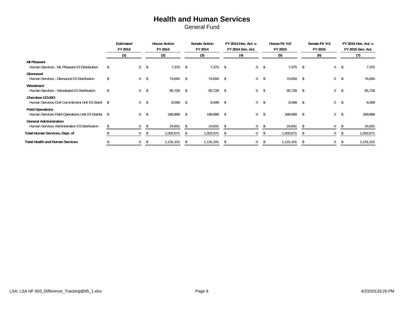### **Health and Human Services**

|                                                                                 | Estimated<br>FY 2013 |                |     | <b>House Action</b><br>FY 2014 |              | <b>Senate Action</b><br>FY 2014 |              | FY 2014 Hse. Act. v.<br>FY 2014 Sen. Act. |                | House Flr Yr2<br>FY 2015 |      | Senate Flr Yr2<br>FY 2015 |     | FY 2015 Hse. Act. v.<br>FY 2015 Sen. Act. |
|---------------------------------------------------------------------------------|----------------------|----------------|-----|--------------------------------|--------------|---------------------------------|--------------|-------------------------------------------|----------------|--------------------------|------|---------------------------|-----|-------------------------------------------|
|                                                                                 | (1)                  |                |     | (2)                            |              | (3)                             |              | (4)                                       |                | (5)                      |      | (6)                       |     | (7)                                       |
| Mt Pleasant<br>Human Services - Mt. Pleasant I/3 Distribution                   |                      | $\mathbf{0}$   | -\$ | 7,375                          | -\$          | $7,375$ \$                      |              | $\mathbf 0$                               | - \$           | 7,375                    | -\$  | $\overline{0}$            | -\$ | 7,375                                     |
| Glenwood<br>Human Services - Glenwood I/3 Distribution                          |                      | 0 <sup>5</sup> |     | 74,650 \$                      |              | 74,650 \$                       |              |                                           | 0 <sup>5</sup> | 74,650                   | -\$  | $\mathbf{0}$              | \$  | 74,650                                    |
| Woodward<br>Human Services - Woodward I/3 Distribution                          |                      | $0 \quad$ \$   |     | $65,728$ \$                    |              | $65,728$ \$                     |              |                                           | $0 \quad$ \$   | 65,728                   | -\$  | $\overline{0}$            | \$  | 65,728                                    |
| Cherokee CCUSO<br>Human Services Civil Commitment Unit I/3 Distric \$           |                      | $0 \quad$ \$   |     | $8,599$ \$                     |              | 8,599                           | $\mathsf{s}$ |                                           | 0 <sup>5</sup> | 8,599 \$                 |      | $0 \quad$ \$              |     | 8,599                                     |
| <b>Field Operations</b><br>Human Services Field Operations Unit I/3 Distribu \$ |                      | 0 <sup>5</sup> |     | 189,899                        | \$           | 189,899                         | - \$         | $\overline{0}$                            | - \$           | 189,899                  | -\$  | $\overline{0}$            | \$  | 189,899                                   |
| <b>General Administration</b><br>Human Services Administration I/3 Distribution | \$                   | 0              | -S  | 24,831                         | -S           | 24,831                          | $\mathsf{s}$ | $\mathbf{0}$                              | - \$           | 24,831                   | -\$  | $\mathbf{0}$              | -S  | 24,831                                    |
| Total Human Services, Dept. of                                                  |                      | $\mathbf{0}$   |     | 1,002,671                      | <sup>S</sup> | 1,002,671                       | $\mathbb{S}$ | 0                                         |                | 1,002,671                | - \$ | 0                         |     | 1,002,671                                 |
| <b>Total Health and Human Services</b>                                          |                      | $\mathbf{0}$   |     | 1,131,101                      |              | 1,131,101                       |              | $\Omega$                                  |                | 1,131,101                |      |                           |     | 1,131,101                                 |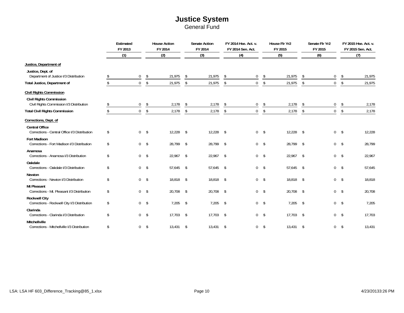## **Justice System**

|                                                                            | Estimated<br>FY 2013 |                         | <b>House Action</b><br>FY 2014 | <b>Senate Action</b><br>FY 2014 |               | FY 2014 Hse. Act. v.<br>FY 2014 Sen. Act. |              | House Flr Yr2<br>FY 2015 |                         | Senate Flr Yr2<br>FY 2015 |                         | FY 2015 Hse. Act. v.<br>FY 2015 Sen. Act. |
|----------------------------------------------------------------------------|----------------------|-------------------------|--------------------------------|---------------------------------|---------------|-------------------------------------------|--------------|--------------------------|-------------------------|---------------------------|-------------------------|-------------------------------------------|
|                                                                            | (1)                  |                         | (2)                            | (3)                             |               | (4)                                       |              | (5)                      |                         | (6)                       |                         | (7)                                       |
| Justice, Department of                                                     |                      |                         |                                |                                 |               |                                           |              |                          |                         |                           |                         |                                           |
| Justice, Dept. of<br>Department of Justice I/3 Distribution                | 0                    | \$                      | 21,975                         | \$<br>21,975                    | \$            | $\mathbf 0$                               | \$           | 21,975                   | \$                      | 0                         | \$                      | 21,975                                    |
| <b>Total Justice, Department of</b>                                        | $\mathbf 0$          | $\sqrt[6]{\frac{1}{2}}$ | 21,975                         | \$<br>21,975                    | \$            | $\mathbf 0$                               | \$           | 21,975                   | \$                      | 0                         | $\sqrt[6]{\frac{1}{2}}$ | 21,975                                    |
| <b>Civil Rights Commission</b>                                             |                      |                         |                                |                                 |               |                                           |              |                          |                         |                           |                         |                                           |
| <b>Civil Rights Commission</b><br>Civil Rights Commission I/3 Distribution | $\mathbf 0$          | \$                      | 2,178                          | \$<br>2,178                     | \$            | $\mathbf 0$                               | \$           | 2,178                    | \$                      | 0                         | \$                      | 2,178                                     |
| <b>Total Civil Rights Commission</b>                                       | $\mathbf 0$          | \$                      | 2,178                          | \$<br>2,178                     | \$            | $\mathbf 0$                               | $\sqrt[6]{}$ | 2,178                    | \$                      | $\overline{0}$            | \$                      | 2,178                                     |
| Corrections, Dept. of                                                      |                      |                         |                                |                                 |               |                                           |              |                          |                         |                           |                         |                                           |
| <b>Central Office</b><br>Corrections - Central Office I/3 Distribution     | \$                   | 0 <sup>5</sup>          | 12,228                         | \$<br>12,228                    | $\sqrt{5}$    | $0 \quad$ \$                              |              | 12,228                   | \$                      | $0 \quad$ \$              |                         | 12,228                                    |
| <b>Fort Madison</b><br>Corrections - Fort Madison I/3 Distribution         | \$                   | 0 <sup>5</sup>          | 28,799 \$                      | 28,799 \$                       |               | $0 \quad$ \$                              |              | 28,799                   | \$                      | $0 \quad$ \$              |                         | 28,799                                    |
| Anamosa<br>Corrections - Anamosa I/3 Distribution                          | \$                   | 0 <sup>5</sup>          | 22,967                         | \$<br>22,967 \$                 |               | $0 \quad$ \$                              |              | 22,967                   | \$                      | $0 \quad$ \$              |                         | 22,967                                    |
| Oakdale<br>Corrections - Oakdale I/3 Distribution                          | \$                   | 0 <sup>5</sup>          | 57,645 \$                      | 57,645 \$                       |               | 0 <sup>5</sup>                            |              | 57,645                   | $\sqrt[6]{\frac{1}{2}}$ | $0 \quad$ \$              |                         | 57,645                                    |
| <b>Newton</b><br>Corrections - Newton I/3 Distribution                     | \$                   | 0 <sup>5</sup>          | 18,818 \$                      | 18,818 \$                       |               | 0 <sup>5</sup>                            |              | 18,818                   | \$                      | 0 <sup>5</sup>            |                         | 18,818                                    |
| <b>Mt Pleasant</b><br>Corrections - Mt. Pleasant I/3 Distribution          | \$                   | 0 <sup>5</sup>          | 20,708 \$                      | 20,708 \$                       |               | $0 \quad$ \$                              |              | 20,708                   | \$                      | 0 <sup>5</sup>            |                         | 20,708                                    |
| <b>Rockwell City</b><br>Corrections - Rockwell City I/3 Distribution       | \$                   | 0 <sup>5</sup>          | 7,205                          | \$<br>7,205                     | $\mathsf{\$}$ | $0 \quad$ \$                              |              | 7,205                    | \$                      | 0 <sup>5</sup>            |                         | 7,205                                     |
| Clarinda<br>Corrections - Clarinda I/3 Distribution                        | \$                   | 0 <sup>5</sup>          | $17,703$ \$                    | 17,703 \$                       |               | $0 \quad$ \$                              |              | 17,703                   | \$                      | 0 <sup>5</sup>            |                         | 17,703                                    |
| Mitchellville<br>Corrections - Mitchellville I/3 Distribution              | \$<br>0              | $\sqrt{2}$              | 13,431                         | \$<br>13,431                    | $\mathcal{S}$ | $\mathbf 0$                               | $\sqrt{3}$   | 13,431                   | \$                      | $\mathbf 0$               | \$                      | 13,431                                    |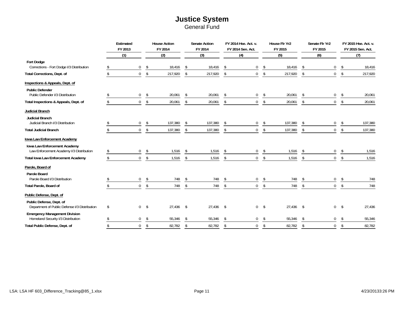### **Justice System** General Fund

|                                                                            | Estimated<br>FY 2013 |               | <b>House Action</b><br>FY 2014 |              | <b>Senate Action</b><br>FY 2014 |               | FY 2014 Hse. Act. v.<br>FY 2014 Sen. Act. |               | House Flr Yr2<br>FY 2015 |     | Senate Flr Yr2<br>FY 2015 |                | FY 2015 Hse. Act. v.<br>FY 2015 Sen. Act. |
|----------------------------------------------------------------------------|----------------------|---------------|--------------------------------|--------------|---------------------------------|---------------|-------------------------------------------|---------------|--------------------------|-----|---------------------------|----------------|-------------------------------------------|
|                                                                            | (1)                  |               | (2)                            |              | (3)                             |               | (4)                                       |               | (5)                      |     | (6)                       |                | (7)                                       |
| <b>Fort Dodge</b><br>Corrections - Fort Dodge I/3 Distribution             | $\mathbf{0}$         | \$            | 18,416                         | $\mathsf{s}$ | 18,416                          | $\mathcal{S}$ | 0                                         | \$            | 18,416                   | \$  | 0                         | -S             | 18,416                                    |
| Total Corrections, Dept. of                                                | $\overline{0}$       | \$            | 217,920                        | \$           | 217,920                         | \$            | $\mathbf 0$                               | $\sqrt[6]{}$  | 217,920                  | \$  | $\mathbf 0$               | \$             | 217,920                                   |
| Inspections & Appeals, Dept. of                                            |                      |               |                                |              |                                 |               |                                           |               |                          |     |                           |                |                                           |
| <b>Public Defender</b><br>Public Defender I/3 Distribution                 | $\mathbf 0$          | \$            | 20,061                         | \$           | 20,061                          | S.            | 0                                         | \$            | 20,061                   | \$  | $\mathbf 0$               | S              | 20,061                                    |
| Total Inspections & Appeals, Dept. of                                      | $\overline{0}$       | \$            | 20,061                         | \$           | 20,061                          | \$            | $\mathbf 0$                               | $\sqrt[6]{}$  | 20,061                   | \$  | $\overline{0}$            | \$             | 20,061                                    |
| Judicial Branch                                                            |                      |               |                                |              |                                 |               |                                           |               |                          |     |                           |                |                                           |
| Judicial Branch<br>Judicial Branch I/3 Distribution                        | $\overline{0}$       | \$            | 137,380                        | \$           | 137,380                         | S.            | 0                                         | \$            | 137,380                  | \$  | 0                         | S              | 137,380                                   |
| <b>Total Judicial Branch</b>                                               | $\mathbf 0$          | \$            | 137,380                        | \$           | 137,380                         | \$            | $\mathbf 0$                               | $\sqrt{5}$    | 137,380                  | \$  | $\mathbf 0$               | \$             | 137,380                                   |
| Iowa Law Enforcement Academy                                               |                      |               |                                |              |                                 |               |                                           |               |                          |     |                           |                |                                           |
| Iowa Law Enforcement Academy<br>Law Enforcement Academy I/3 Distribution   | $\mathbf 0$          | \$            | 1,516                          |              | 1,516                           |               | 0                                         | \$            | 1,516                    |     | $\mathbf 0$               | \$             | 1,516                                     |
| <b>Total Iowa Law Enforcement Academy</b>                                  | $\mathbf 0$          | \$            | 1,516                          | \$           | 1,516                           | \$            | $\mathbf 0$                               | $\sqrt[6]{2}$ | 1,516                    | \$  | $\mathbf 0$               | \$             | 1,516                                     |
| Parole, Board of                                                           |                      |               |                                |              |                                 |               |                                           |               |                          |     |                           |                |                                           |
| Parole Board<br>Parole Board I/3 Distribution                              | 0                    | \$            | 748                            | -S           | 748                             | \$            | 0                                         | \$            | 748                      | \$  | 0                         | \$             | 748                                       |
| Total Parole, Board of                                                     | $\overline{0}$       | $\mathsf{\$}$ | 748                            | \$           | 748                             | \$            | $\overline{0}$                            | $\sqrt[6]{}$  | 748                      | \$  | $\overline{0}$            | $\mathfrak{L}$ | 748                                       |
| Public Defense, Dept. of                                                   |                      |               |                                |              |                                 |               |                                           |               |                          |     |                           |                |                                           |
| Public Defense, Dept. of<br>Department of Public Defense I/3 Distribution  | \$<br>$\mathbf{0}$   | $\mathsf{s}$  | 27,436                         | \$           | 27,436                          | $\mathsf{\$}$ | $\overline{0}$                            | $\mathsf{s}$  | 27.436                   | -\$ | $\mathbf 0$               | -\$            | 27,436                                    |
| <b>Emergency Management Division</b><br>Homeland Security I/3 Distribution | $\mathbf 0$          | \$            | 55,346                         | \$           | 55,346                          | -S            | 0                                         | \$            | 55,346                   | \$  | 0                         | \$             | 55,346                                    |
| Total Public Defense, Dept. of                                             | $\mathbf 0$          | \$            | 82,782                         | \$           | 82,782                          | \$            | $\mathbf 0$                               | \$            | 82,782                   | \$  | $\Omega$                  | \$             | 82,782                                    |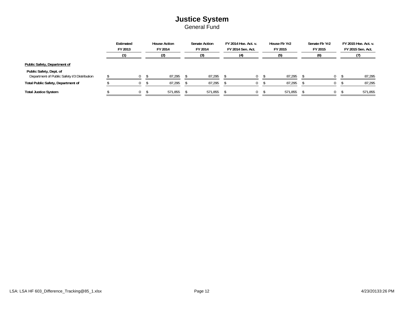## **Justice System**

|                                                                         | Estimated<br>FY 2013 | <b>House Action</b><br>FY 2014 | <b>Senate Action</b><br>FY 2014 | FY 2014 Hse. Act. v.<br>FY 2014 Sen. Act. | House Flr Yr2<br>FY 2015 | Senate Flr Yr2<br>FY 2015 | FY 2015 Hse. Act. v.<br>FY 2015 Sen. Act. |
|-------------------------------------------------------------------------|----------------------|--------------------------------|---------------------------------|-------------------------------------------|--------------------------|---------------------------|-------------------------------------------|
|                                                                         |                      | (2)                            | (3)                             | (4)                                       | (5)                      | (6)                       |                                           |
| Public Safety, Department of                                            |                      |                                |                                 |                                           |                          |                           |                                           |
| Public Safety, Dept. of<br>Department of Public Safety I/3 Distribution |                      | 87,295                         | 87,295                          |                                           | 87,295                   | 0                         | 87,295                                    |
| <b>Total Public Safety, Department of</b>                               |                      | 87,295                         | 87,295                          |                                           | 87,295                   |                           | 87,295                                    |
| <b>Total Justice System</b>                                             | $^{0}$               | 571,855                        | 571,855                         |                                           | 571,855                  |                           | 571,855                                   |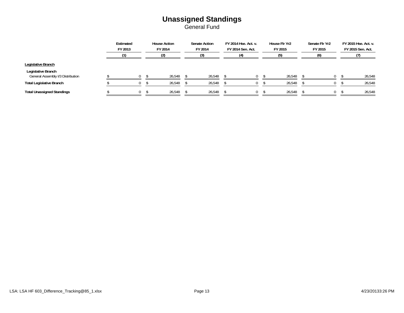### **Unassigned Standings** General Fund

|                                                         | Estimated<br>FY 2013 | <b>House Action</b><br>FY 2014 | <b>Senate Action</b><br>FY 2014 | FY 2014 Hse. Act. v.<br>FY 2014 Sen. Act. | House Flr Yr2<br>FY 2015 | Senate Flr Yr2<br>FY 2015 | FY 2015 Hse. Act. v.<br>FY 2015 Sen. Act. |
|---------------------------------------------------------|----------------------|--------------------------------|---------------------------------|-------------------------------------------|--------------------------|---------------------------|-------------------------------------------|
|                                                         |                      |                                |                                 | (4)                                       | (5)                      |                           |                                           |
| Legislative Branch                                      |                      |                                |                                 |                                           |                          |                           |                                           |
| Legislative Branch<br>General Assembly I/3 Distribution |                      | 26.548                         | 26.548                          |                                           | 26.548                   |                           | 26,548                                    |
| <b>Total Legislative Branch</b>                         |                      | 26,548                         | 26,548                          |                                           | 26,548                   |                           | 26,548                                    |
| <b>Total Unassigned Standings</b>                       |                      | 26,548                         | 26,548                          |                                           | 26,548                   |                           | 26,548                                    |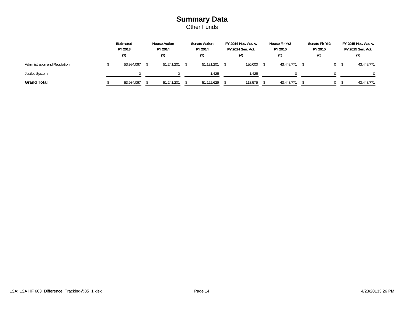### **Summary Data** Other Funds

|                               | Estimated<br>FY 2013 | <b>House Action</b><br>FY 2014 | <b>Senate Action</b><br>FY 2014 | FY 2014 Hse. Act. v.<br>FY 2014 Sen. Act. | House Flr Yr2<br>FY 2015 | Senate Flr Yr2<br>FY 2015 |      | FY 2015 Hse. Act. v.<br>FY 2015 Sen. Act. |
|-------------------------------|----------------------|--------------------------------|---------------------------------|-------------------------------------------|--------------------------|---------------------------|------|-------------------------------------------|
|                               |                      |                                |                                 |                                           | (5)                      | (6)                       |      |                                           |
| Administration and Regulation | 53.984.067           | 51.241.201                     | 51,121,201                      | 120,000                                   | 43.448.771               |                           | () 9 | 43,448,771                                |
| <b>Justice System</b>         |                      |                                | l.425                           | $-1.425$                                  |                          |                           |      | $\Omega$                                  |
| <b>Grand Total</b>            | 53,984,067           | 51.241.201                     | 51.122.626                      | 118.575                                   | 43.448.771               |                           |      | 43,448,771                                |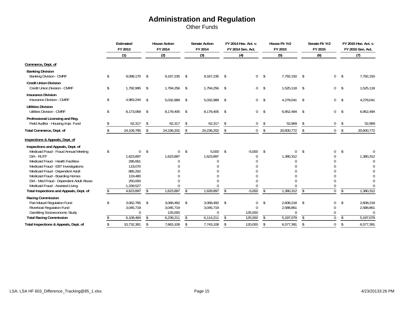Other Funds

|                                                                                                                      |    | Estimated<br>FY 2013               | <b>House Action</b><br>FY 2014             |               | <b>Senate Action</b><br>FY 2014       |                          | FY 2014 Hse. Act. v.<br>FY 2014 Sen. Act. |                         | House Flr Yr2<br>FY 2015           |            | Senate Flr Yr2<br>FY 2015 |                          | FY 2015 Hse. Act. v.<br>FY 2015 Sen. Act. |
|----------------------------------------------------------------------------------------------------------------------|----|------------------------------------|--------------------------------------------|---------------|---------------------------------------|--------------------------|-------------------------------------------|-------------------------|------------------------------------|------------|---------------------------|--------------------------|-------------------------------------------|
|                                                                                                                      |    | (1)                                | (2)                                        |               | (3)                                   |                          | (4)                                       |                         | (5)                                |            | (6)                       |                          | (7)                                       |
| Commerce, Dept. of                                                                                                   |    |                                    |                                            |               |                                       |                          |                                           |                         |                                    |            |                           |                          |                                           |
| <b>Banking Division</b><br><b>Banking Division - CMRF</b>                                                            | \$ | 9,098,170                          | \$<br>9,167,235                            | \$            | 9,167,235 \$                          |                          |                                           | $0 \quad$ \$            | 7,792,150                          | \$         | $\overline{0}$            | $\mathsf{\$}$            | 7,792,150                                 |
| <b>Credit Union Division</b><br>Credit Union Division - CMRF                                                         | \$ | 1,792,995                          | \$<br>1,794,256                            | \$            | 1,794,256 \$                          |                          | $\mathbf 0$                               | $\sqrt{5}$              | 1,525,118                          | \$         | 0 <sup>5</sup>            |                          | 1,525,118                                 |
| <b>Insurance Division</b><br>Insurance Division - CMRF                                                               | \$ | 4,983,244 \$                       | 5,032,989                                  | \$            | 5,032,989 \$                          |                          | $\mathbf 0$                               | \$                      | 4,278,041                          | $\sqrt{2}$ | 0 <sup>5</sup>            |                          | 4,278,041                                 |
| <b>Utilities Division</b><br><b>Utilities Division - CMRF</b>                                                        | \$ | 8,173,069                          | \$<br>8,179,405                            | \$            | 8,179,405                             | $\mathsf{\$}$            | $\mathbf 0$                               | $\sqrt[6]{\frac{1}{2}}$ | 6,952,494                          | \$         | $\overline{0}$            | $\sqrt[6]{}$             | 6,952,494                                 |
| Professional Licensing and Reg.<br>Field Auditor - Housing Impr. Fund                                                |    | 62,317                             | \$<br>62,317                               | <sup>\$</sup> | 62,317                                | \$                       | $\mathbf{0}$                              | \$                      | 52,969                             | \$         | 0                         | \$                       | 52,969                                    |
| Total Commerce, Dept. of                                                                                             |    | 24,109,795                         | \$<br>24,236,202                           | \$            | 24,236,202                            | \$                       | $\mathbf 0$                               | \$                      | 20,600,772                         | \$         | $\overline{0}$            | \$                       | 20,600,772                                |
| Inspections & Appeals, Dept. of                                                                                      |    |                                    |                                            |               |                                       |                          |                                           |                         |                                    |            |                           |                          |                                           |
| Inspections and Appeals, Dept. of<br>Medicaid Fraud - Fraud Annual Meeting<br>DIA - RUTF                             | Ŝ. | $\mathbf{0}$<br>1,623,897          | \$<br>$\Omega$<br>1,623,897                | \$            | 5,000<br>1,623,897                    | $\mathsf{\$}$            | $-5,000$                                  | \$                      | $\mathbf 0$<br>1,380,312           | $\sqrt{2}$ | 0                         | \$                       | 1,380,312                                 |
| Medicaid Fraud - Health Facilities<br>Medicaid Fraud - EBT Investigations                                            |    | 286,661<br>119,070                 |                                            |               |                                       |                          |                                           |                         | $\Omega$                           |            |                           |                          | $\mathbf{0}$                              |
| Medicaid Fraud - Dependent Adult<br>Medicaid Fraud - Boarding Homes                                                  |    | 885,262<br>119,480                 |                                            |               |                                       |                          |                                           |                         |                                    |            |                           |                          |                                           |
| DIA - Med Fraud - Dependent Adult Abuse<br>Medicaid Fraud - Assisted Living                                          |    | 250,000<br>1,339,527               |                                            |               |                                       |                          |                                           |                         |                                    |            |                           |                          |                                           |
| Total Inspections and Appeals, Dept. of                                                                              |    | 4,623,897                          | \$<br>1,623,897                            | $\mathsf{\$}$ | 1,628,897                             | $\overline{\mathcal{E}}$ | $-5,000$                                  | $\mathbb{S}$            | 1,380,312                          | $\sqrt{2}$ | $\Omega$                  | $\mathsf{\$}$            | 1,380,312                                 |
| Racing Commission<br>Pari-Mutuel Regulation Fund<br>Riverboat Regulation Fund<br><b>Gambling Socioeconomic Study</b> | Ŝ. | 3,062,765<br>3,045,719<br>$\Omega$ | \$<br>3,068,492 \$<br>3,045,719<br>125,000 |               | 3,068,492 \$<br>3,045,719<br>$\Omega$ |                          | 0<br>$\Omega$<br>125,000                  | \$                      | 2,608,218<br>2,588,861<br>$\Omega$ | \$         | 0<br>$\Omega$<br>U        | \$                       | 2,608,218<br>2,588,861<br>$\Omega$        |
| <b>Total Racing Commission</b>                                                                                       |    | 6,108,484                          | \$<br>6,239,211                            | \$            | 6,114,211                             | \$                       | 125,000                                   | \$                      | 5,197,079                          | \$         | 0                         | $\overline{\mathcal{S}}$ | 5,197,079                                 |
| Total Inspections & Appeals, Dept. of                                                                                |    | 10,732,381                         | \$<br>7,863,108                            | \$            | 7,743,108                             | \$                       | 120,000                                   | \$                      | 6,577,391                          | \$         | 0                         | \$                       | 6,577,391                                 |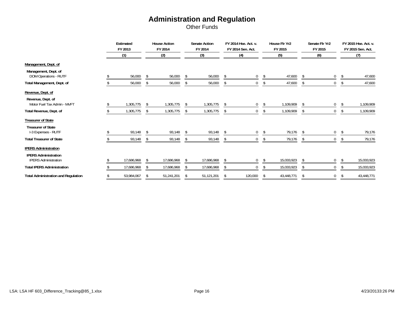Other Funds

|                                                            | Estimated<br>FY 2013 |               | <b>House Action</b><br>FY 2014 |     | <b>Senate Action</b><br>FY 2014 |      | FY 2014 Hse. Act. v.<br>FY 2014 Sen. Act. |    | House Flr Yr2<br>FY 2015 |    | Senate Flr Yr2<br>FY 2015 |    | FY 2015 Hse. Act. v.<br>FY 2015 Sen. Act. |
|------------------------------------------------------------|----------------------|---------------|--------------------------------|-----|---------------------------------|------|-------------------------------------------|----|--------------------------|----|---------------------------|----|-------------------------------------------|
|                                                            | (1)                  |               | (2)                            |     | (3)                             |      | (4)                                       |    | (5)                      |    | (6)                       |    | (7)                                       |
| Management, Dept. of                                       |                      |               |                                |     |                                 |      |                                           |    |                          |    |                           |    |                                           |
| Management, Dept. of<br>DOM Operations - RUTF              | 56,000               | -S            | 56,000                         | \$  | 56,000                          | S.   | 0                                         | -S | 47,600                   | \$ | 0                         | -S | 47,600                                    |
| Total Management, Dept. of                                 | 56,000               | -S            | 56,000                         | \$  | 56,000                          | -S   | $\mathbf{0}$                              | \$ | 47,600                   | \$ | 0                         | S. | 47,600                                    |
| Revenue, Dept. of                                          |                      |               |                                |     |                                 |      |                                           |    |                          |    |                           |    |                                           |
| Revenue, Dept. of<br>Motor Fuel Tax Admin - MVFT           | 1,305,775            | $\mathcal{S}$ | 1,305,775                      | -S  | 1,305,775                       | S.   | 0                                         | \$ | 1,109,909                | Ŝ. | 0                         | -S | 1,109,909                                 |
| Total Revenue, Dept. of                                    | 1,305,775            | -S            | 1,305,775                      | -S  | 1,305,775                       | -S   | 0                                         | S. | 1,109,909                | \$ | 0                         | S  | 1,109,909                                 |
| <b>Treasurer of State</b>                                  |                      |               |                                |     |                                 |      |                                           |    |                          |    |                           |    |                                           |
| <b>Treasurer of State</b><br>I-3 Expenses - RUTF           | 93,148               |               | 93,148                         | -\$ | 93,148                          | -S   | 0                                         | \$ | 79,176                   | \$ | 0                         | S  | 79,176                                    |
| <b>Total Treasurer of State</b>                            | 93,148               |               | 93,148                         | -\$ | 93,148                          | - \$ | 0                                         | S. | 79,176                   | S. |                           |    | 79,176                                    |
| <b>IPERS Administration</b>                                |                      |               |                                |     |                                 |      |                                           |    |                          |    |                           |    |                                           |
| <b>IPERS Administration</b><br><b>IPERS Administration</b> | 17,686,968           |               | 17,686,968                     |     | 17,686,968                      |      | 0                                         | -S | 15,033,923               | S. | 0                         |    | 15,033,923                                |
| <b>Total IPERS Administration</b>                          | 17,686,968           |               | 17,686,968                     | -S  | 17,686,968                      |      | $\mathbf{0}$                              |    | 15,033,923               | Ŝ. | 0                         |    | 15,033,923                                |
| <b>Total Administration and Regulation</b>                 | 53,984,067           | -S            | 51,241,201                     | \$  | 51,121,201                      | S    | 120,000                                   | \$ | 43,448,771               | \$ | 0                         | \$ | 43,448,771                                |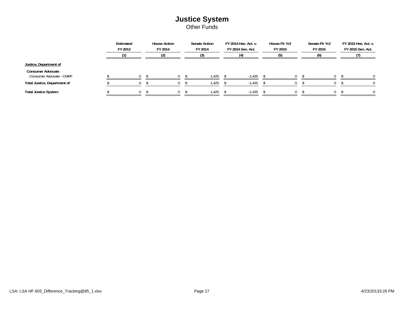### **Justice System** Other Funds

|                                                      | Estimated<br>FY 2013 | <b>House Action</b><br>FY 2014 | <b>Senate Action</b><br>FY 2014 | FY 2014 Hse. Act. v.<br>FY 2014 Sen. Act. | House Flr Yr2<br>FY 2015 | Senate Flr Yr2<br>FY 2015 | FY 2015 Hse. Act. v.<br>FY 2015 Sen. Act. |
|------------------------------------------------------|----------------------|--------------------------------|---------------------------------|-------------------------------------------|--------------------------|---------------------------|-------------------------------------------|
|                                                      |                      |                                |                                 | (4)                                       |                          |                           |                                           |
| Justice, Department of                               |                      |                                |                                 |                                           |                          |                           |                                           |
| <b>Consumer Advocate</b><br>Consumer Advocate - CMRF | $\Omega$             | $\Omega$                       | 1,425                           | $-1.425$                                  | $\Omega$                 |                           |                                           |
| Total Justice, Department of                         | $\theta$             |                                | 1,425                           | $-1,425$                                  |                          |                           |                                           |
| <b>Total Justice System</b>                          | $\Omega$             |                                | 1,425                           | $-1,425$                                  | $\Omega$                 | $^{0}$                    | $\Omega$                                  |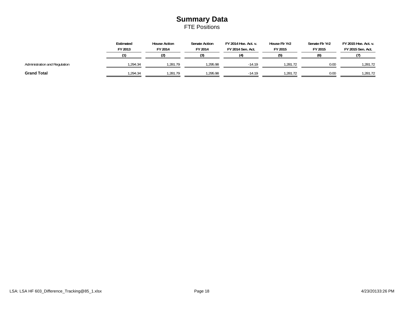### **Summary Data** FTE Positions

|                               | Estimated<br>FY 2013 | <b>House Action</b><br>FY 2014 | <b>Senate Action</b><br>FY 2014 | FY 2014 Hse. Act. v.<br>FY 2014 Sen. Act. | House Flr Yr2<br>FY 2015 | Senate Flr Yr2<br>FY 2015 | FY 2015 Hse. Act. v.<br>FY 2015 Sen. Act. |
|-------------------------------|----------------------|--------------------------------|---------------------------------|-------------------------------------------|--------------------------|---------------------------|-------------------------------------------|
|                               |                      |                                |                                 | И١                                        |                          |                           |                                           |
| Administration and Regulation | .294.34              | .281.79                        | 1.295.98                        | $-14.19$                                  | .281.72                  | 0.00                      | 1.281.72                                  |
| <b>Grand Total</b>            | .294.34              | .281.79                        | 1,295.98                        | $-14.19$                                  | 1.281.72                 | 0.00                      | 1,281.72                                  |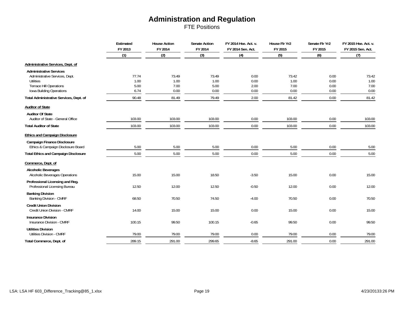FTE Positions

|                                                              | Estimated<br>FY 2013<br>(1) | <b>House Action</b><br>FY 2014<br>(2) | <b>Senate Action</b><br>FY 2014 | FY 2014 Hse. Act. v.<br>FY 2014 Sen. Act.<br>(4) | House Flr Yr2<br>FY 2015<br>(5) | Senate Flr Yr2<br>FY 2015<br>(6) | FY 2015 Hse. Act. v.<br>FY 2015 Sen. Act.<br>(7) |
|--------------------------------------------------------------|-----------------------------|---------------------------------------|---------------------------------|--------------------------------------------------|---------------------------------|----------------------------------|--------------------------------------------------|
|                                                              |                             |                                       | (3)                             |                                                  |                                 |                                  |                                                  |
| Administrative Services, Dept. of                            |                             |                                       |                                 |                                                  |                                 |                                  |                                                  |
| <b>Administrative Services</b>                               |                             |                                       |                                 |                                                  |                                 |                                  |                                                  |
| Administrative Services, Dept.                               | 77.74                       | 73.49                                 | 73.49                           | 0.00                                             | 73.42                           | 0.00                             | 73.42                                            |
| Utilities                                                    | 1.00                        | 1.00                                  | 1.00                            | 0.00                                             | 1.00                            | 0.00                             | 1.00                                             |
| Terrace Hill Operations                                      | 5.00                        | 7.00                                  | 5.00                            | 2.00                                             | 7.00                            | 0.00                             | 7.00                                             |
| Iowa Building Operations                                     | 6.74                        | 0.00                                  | 0.00                            | 0.00                                             | 0.00                            | 0.00                             | 0.00                                             |
| Total Administrative Services, Dept. of                      | 90.48                       | 81.49                                 | 79.49                           | 2.00                                             | 81.42                           | 0.00                             | 81.42                                            |
| <b>Auditor of State</b>                                      |                             |                                       |                                 |                                                  |                                 |                                  |                                                  |
| <b>Auditor Of State</b>                                      |                             |                                       |                                 |                                                  |                                 |                                  |                                                  |
| Auditor of State - General Office                            | 103.00                      | 103.00                                | 103.00                          | 0.00                                             | 103.00                          | 0.00                             | 103.00                                           |
| <b>Total Auditor of State</b>                                | 103.00                      | 103.00                                | 103.00                          | 0.00                                             | 103.00                          | 0.00                             | 103.00                                           |
| <b>Ethics and Campaign Disclosure</b>                        |                             |                                       |                                 |                                                  |                                 |                                  |                                                  |
| <b>Campaign Finance Disclosure</b>                           |                             |                                       |                                 |                                                  |                                 |                                  |                                                  |
| Ethics & Campaign Disclosure Board                           | 5.00                        | 5.00                                  | 5.00                            | 0.00                                             | 5.00                            | 0.00                             | 5.00                                             |
| <b>Total Ethics and Campaign Disclosure</b>                  | 5.00                        | 5.00                                  | 5.00                            | $0.00\,$                                         | 5.00                            | 0.00                             | 5.00                                             |
| Commerce, Dept. of                                           |                             |                                       |                                 |                                                  |                                 |                                  |                                                  |
| <b>Alcoholic Beverages</b>                                   |                             |                                       |                                 |                                                  |                                 |                                  |                                                  |
| <b>Alcoholic Beverages Operations</b>                        | 15.00                       | 15.00                                 | 18.50                           | $-3.50$                                          | 15.00                           | 0.00                             | 15.00                                            |
| Professional Licensing and Reg.                              |                             |                                       |                                 |                                                  |                                 |                                  |                                                  |
| Professional Licensing Bureau                                | 12.50                       | 12.00                                 | 12.50                           | $-0.50$                                          | 12.00                           | 0.00                             | 12.00                                            |
| <b>Banking Division</b>                                      |                             |                                       |                                 |                                                  |                                 |                                  |                                                  |
| Banking Division - CMRF                                      | 68.50                       | 70.50                                 | 74.50                           | $-4.00$                                          | 70.50                           | 0.00                             | 70.50                                            |
|                                                              |                             |                                       |                                 |                                                  |                                 |                                  |                                                  |
| <b>Credit Union Division</b><br>Credit Union Division - CMRF | 14.00                       |                                       |                                 | 0.00                                             | 15.00                           | 0.00                             |                                                  |
|                                                              |                             | 15.00                                 | 15.00                           |                                                  |                                 |                                  | 15.00                                            |
| <b>Insurance Division</b>                                    |                             |                                       |                                 |                                                  |                                 |                                  |                                                  |
| Insurance Division - CMRF                                    | 100.15                      | 99.50                                 | 100.15                          | $-0.65$                                          | 99.50                           | 0.00                             | 99.50                                            |
| <b>Utilities Division</b>                                    |                             |                                       |                                 |                                                  |                                 |                                  |                                                  |
| <b>Utilities Division - CMRF</b>                             | 79.00                       | 79.00                                 | 79.00                           | 0.00                                             | 79.00                           | 0.00                             | 79.00                                            |
| Total Commerce, Dept. of                                     | 289.15                      | 291.00                                | 299.65                          | $-8.65$                                          | 291.00                          | 0.00                             | 291.00                                           |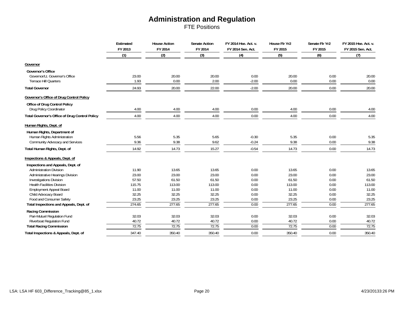FTE Positions

|                                                | Estimated<br>FY 2013<br>(1) | <b>House Action</b><br>FY 2014<br>(2) | <b>Senate Action</b><br>FY 2014<br>(3) | FY 2014 Hse. Act. v.<br>FY 2014 Sen. Act.<br>(4) | House Flr Yr2<br>FY 2015<br>(5) | Senate Flr Yr2<br>FY 2015<br>(6) | FY 2015 Hse. Act. v.<br>FY 2015 Sen. Act.<br>(7) |
|------------------------------------------------|-----------------------------|---------------------------------------|----------------------------------------|--------------------------------------------------|---------------------------------|----------------------------------|--------------------------------------------------|
|                                                |                             |                                       |                                        |                                                  |                                 |                                  |                                                  |
| Governor                                       |                             |                                       |                                        |                                                  |                                 |                                  |                                                  |
| <b>Governor's Office</b>                       |                             |                                       |                                        |                                                  |                                 |                                  |                                                  |
| Governor/Lt. Governor's Office                 | 23.00                       | 20.00                                 | 20.00                                  | 0.00                                             | 20.00                           | 0.00                             | 20.00                                            |
| Terrace Hill Quarters                          | 1.93                        | 0.00                                  | 2.00                                   | $-2.00$                                          | 0.00                            | 0.00                             | 0.00                                             |
| <b>Total Governor</b>                          | 24.93                       | 20.00                                 | 22.00                                  | $-2.00$                                          | 20.00                           | 0.00                             | 20.00                                            |
| Governor's Office of Drug Control Policy       |                             |                                       |                                        |                                                  |                                 |                                  |                                                  |
| Office of Drug Control Policy                  |                             |                                       |                                        |                                                  |                                 |                                  |                                                  |
| Drug Policy Coordinator                        | 4.00                        | 4.00                                  | 4.00                                   | 0.00                                             | 4.00                            | 0.00                             | 4.00                                             |
| Total Governor's Office of Drug Control Policy | 4.00                        | 4.00                                  | 4.00                                   | 0.00                                             | 4.00                            | 0.00                             | 4.00                                             |
| Human Rights, Dept. of                         |                             |                                       |                                        |                                                  |                                 |                                  |                                                  |
| Human Rights, Department of                    |                             |                                       |                                        |                                                  |                                 |                                  |                                                  |
| Human Rights Administration                    | 5.56                        | 5.35                                  | 5.65                                   | $-0.30$                                          | 5.35                            | 0.00                             | 5.35                                             |
| Community Advocacy and Services                | 9.36                        | 9.38                                  | 9.62                                   | $-0.24$                                          | 9.38                            | 0.00                             | 9.38                                             |
| Total Human Rights, Dept. of                   | 14.92                       | 14.73                                 | 15.27                                  | $-0.54$                                          | 14.73                           | 0.00                             | 14.73                                            |
| Inspections & Appeals, Dept. of                |                             |                                       |                                        |                                                  |                                 |                                  |                                                  |
| Inspections and Appeals, Dept. of              |                             |                                       |                                        |                                                  |                                 |                                  |                                                  |
| Administration Division                        | 11.90                       | 13.65                                 | 13.65                                  | 0.00                                             | 13.65                           | 0.00                             | 13.65                                            |
| <b>Administrative Hearings Division</b>        | 23.00                       | 23.00                                 | 23.00                                  | 0.00                                             | 23.00                           | 0.00                             | 23.00                                            |
| Investigations Division                        | 57.50                       | 61.50                                 | 61.50                                  | 0.00                                             | 61.50                           | 0.00                             | 61.50                                            |
| <b>Health Facilities Division</b>              | 115.75                      | 113.00                                | 113.00                                 | 0.00                                             | 113.00                          | 0.00                             | 113.00                                           |
| <b>Employment Appeal Board</b>                 | 11.00                       | 11.00                                 | 11.00                                  | 0.00                                             | 11.00                           | 0.00                             | 11.00                                            |
| Child Advocacy Board                           | 32.25                       | 32.25                                 | 32.25                                  | 0.00                                             | 32.25                           | 0.00                             | 32.25                                            |
| Food and Consumer Safety                       | 23.25                       | 23.25                                 | 23.25                                  | 0.00                                             | 23.25                           | 0.00                             | 23.25                                            |
| Total Inspections and Appeals, Dept. of        | 274.65                      | 277.65                                | 277.65                                 | 0.00                                             | 277.65                          | 0.00                             | 277.65                                           |
| Racing Commission                              |                             |                                       |                                        |                                                  |                                 |                                  |                                                  |
| Pari-Mutuel Regulation Fund                    | 32.03                       | 32.03                                 | 32.03                                  | 0.00                                             | 32.03                           | 0.00                             | 32.03                                            |
| Riverboat Regulation Fund                      | 40.72                       | 40.72                                 | 40.72                                  | 0.00                                             | 40.72                           | 0.00                             | 40.72                                            |
| <b>Total Racing Commission</b>                 | 72.75                       | 72.75                                 | 72.75                                  | 0.00                                             | 72.75                           | 0.00                             | 72.75                                            |
| Total Inspections & Appeals, Dept. of          | 347.40                      | 350.40                                | 350.40                                 | 0.00                                             | 350.40                          | 0.00                             | 350.40                                           |